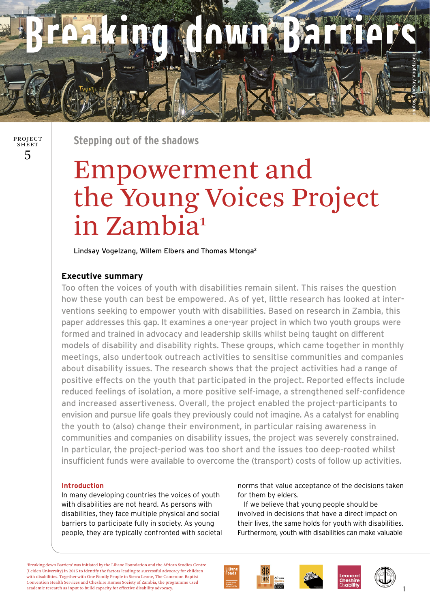

5 PROJECT SHEET

**Stepping out of the shadows**

# Empowerment and the Young Voices Project in Zambia**<sup>1</sup>**

Lindsay Vogelzang, Willem Elbers and Thomas Mtonga2

## **Executive summary**

Too often the voices of youth with disabilities remain silent. This raises the question how these youth can best be empowered. As of yet, little research has looked at interventions seeking to empower youth with disabilities. Based on research in Zambia, this paper addresses this gap. It examines a one-year project in which two youth groups were formed and trained in advocacy and leadership skills whilst being taught on different models of disability and disability rights. These groups, which came together in monthly meetings, also undertook outreach activities to sensitise communities and companies about disability issues. The research shows that the project activities had a range of positive effects on the youth that participated in the project. Reported effects include reduced feelings of isolation, a more positive self-image, a strengthened self-confidence and increased assertiveness. Overall, the project enabled the project-participants to envision and pursue life goals they previously could not imagine. As a catalyst for enabling the youth to (also) change their environment, in particular raising awareness in communities and companies on disability issues, the project was severely constrained. In particular, the project-period was too short and the issues too deep-rooted whilst insufficient funds were available to overcome the (transport) costs of follow up activities.

## **Introduction**

In many developing countries the voices of youth with disabilities are not heard. As persons with disabilities, they face multiple physical and social barriers to participate fully in society. As young people, they are typically confronted with societal norms that value acceptance of the decisions taken for them by elders.

 If we believe that young people should be involved in decisions that have a direct impact on their lives, the same holds for youth with disabilities. Furthermore, youth with disabilities can make valuable

'Breaking down Barriers' was initiated by the Liliane Foundation and the African Studies Centre (Leiden University) in 2015 to identify the factors leading to successful advocacy for children with disabilities. Together with One Family People in Sierra Leone, The Cameroon Baptist Convention Health Services and Cheshire Homes Society of Zambia, the programme used academic research as input to build capacity for effective disability advocacy.



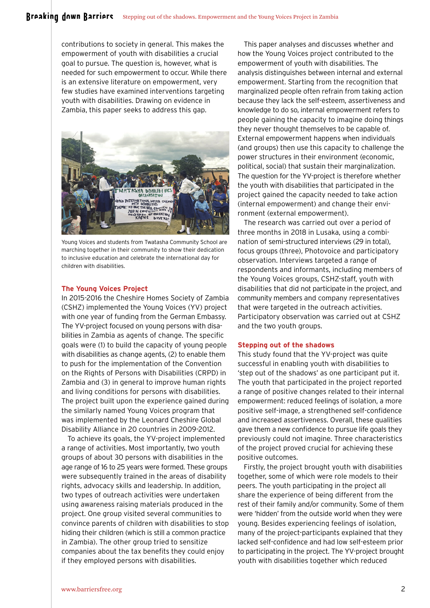contributions to society in general. This makes the empowerment of youth with disabilities a crucial goal to pursue. The question is, however, what is needed for such empowerment to occur. While there is an extensive literature on empowerment, very few studies have examined interventions targeting youth with disabilities. Drawing on evidence in Zambia, this paper seeks to address this gap.



Young Voices and students from Twatasha Community School are marching together in their community to show their dedication to inclusive education and celebrate the international day for children with disabilities.

## **The Young Voices Project**

In 2015-2016 the Cheshire Homes Society of Zambia (CSHZ) implemented the Young Voices (YV) project with one year of funding from the German Embassy. The YV-project focused on young persons with disabilities in Zambia as agents of change. The specific goals were (1) to build the capacity of young people with disabilities as change agents, (2) to enable them to push for the implementation of the Convention on the Rights of Persons with Disabilities (CRPD) in Zambia and (3) in general to improve human rights and living conditions for persons with disabilities. The project built upon the experience gained during the similarly named Young Voices program that was implemented by the Leonard Cheshire Global Disability Alliance in 20 countries in 2009-2012.

To achieve its goals, the YV-project implemented a range of activities. Most importantly, two youth groups of about 30 persons with disabilities in the age range of 16 to 25 years were formed. These groups were subsequently trained in the areas of disability rights, advocacy skills and leadership. In addition, two types of outreach activities were undertaken using awareness raising materials produced in the project. One group visited several communities to convince parents of children with disabilities to stop hiding their children (which is still a common practice in Zambia). The other group tried to sensitize companies about the tax benefits they could enjoy if they employed persons with disabilities.

This paper analyses and discusses whether and how the Young Voices project contributed to the empowerment of youth with disabilities. The analysis distinguishes between internal and external empowerment. Starting from the recognition that marginalized people often refrain from taking action because they lack the self-esteem, assertiveness and knowledge to do so, internal empowerment refers to people gaining the capacity to imagine doing things they never thought themselves to be capable of. External empowerment happens when individuals (and groups) then use this capacity to challenge the power structures in their environment (economic, political, social) that sustain their marginalization. The question for the YV-project is therefore whether the youth with disabilities that participated in the project gained the capacity needed to take action (internal empowerment) and change their environment (external empowerment).

The research was carried out over a period of three months in 2018 in Lusaka, using a combination of semi-structured interviews (29 in total), focus groups (three), Photovoice and participatory observation. Interviews targeted a range of respondents and informants, including members of the Young Voices groups, CSHZ-staff, youth with disabilities that did not participate in the project, and community members and company representatives that were targeted in the outreach activities. Participatory observation was carried out at CSHZ and the two youth groups.

## **Stepping out of the shadows**

This study found that the YV-project was quite successful in enabling youth with disabilities to 'step out of the shadows' as one participant put it. The youth that participated in the project reported a range of positive changes related to their internal empowerment: reduced feelings of isolation, a more positive self-image, a strengthened self-confidence and increased assertiveness. Overall, these qualities gave them a new confidence to pursue life goals they previously could not imagine. Three characteristics of the project proved crucial for achieving these positive outcomes.

Firstly, the project brought youth with disabilities together, some of which were role models to their peers. The youth participating in the project all share the experience of being different from the rest of their family and/or community. Some of them were 'hidden' from the outside world when they were young. Besides experiencing feelings of isolation, many of the project-participants explained that they lacked self-confidence and had low self-esteem prior to participating in the project. The YV-project brought youth with disabilities together which reduced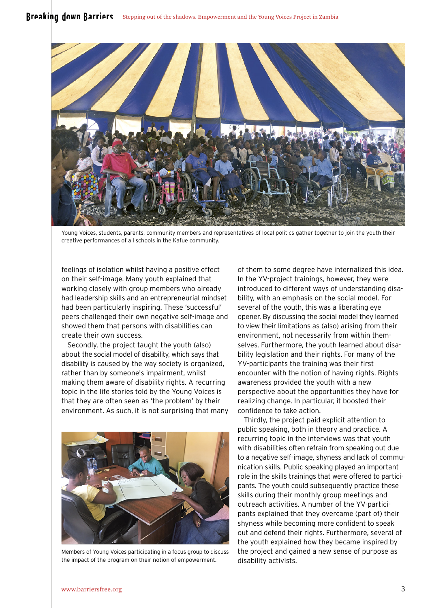

Young Voices, students, parents, community members and representatives of local politics gather together to join the youth their creative performances of all schools in the Kafue community.

feelings of isolation whilst having a positive effect on their self-image. Many youth explained that working closely with group members who already had leadership skills and an entrepreneurial mindset had been particularly inspiring. These 'successful' peers challenged their own negative self-image and showed them that persons with disabilities can create their own success.

Secondly, the project taught the youth (also) about the social model of disability, which says that disability is caused by the way society is organized, rather than by someone's impairment, whilst making them aware of disability rights. A recurring topic in the life stories told by the Young Voices is that they are often seen as 'the problem' by their environment. As such, it is not surprising that many



Members of Young Voices participating in a focus group to discuss the impact of the program on their notion of empowerment.

of them to some degree have internalized this idea. In the YV-project trainings, however, they were introduced to different ways of understanding disability, with an emphasis on the social model. For several of the youth, this was a liberating eye opener. By discussing the social model they learned to view their limitations as (also) arising from their environment, not necessarily from within themselves. Furthermore, the youth learned about disability legislation and their rights. For many of the YV-participants the training was their first encounter with the notion of having rights. Rights awareness provided the youth with a new perspective about the opportunities they have for realizing change. In particular, it boosted their confidence to take action.

Thirdly, the project paid explicit attention to public speaking, both in theory and practice. A recurring topic in the interviews was that youth with disabilities often refrain from speaking out due to a negative self-image, shyness and lack of communication skills. Public speaking played an important role in the skills trainings that were offered to participants. The youth could subsequently practice these skills during their monthly group meetings and outreach activities. A number of the YV-participants explained that they overcame (part of) their shyness while becoming more confident to speak out and defend their rights. Furthermore, several of the youth explained how they became inspired by the project and gained a new sense of purpose as disability activists.